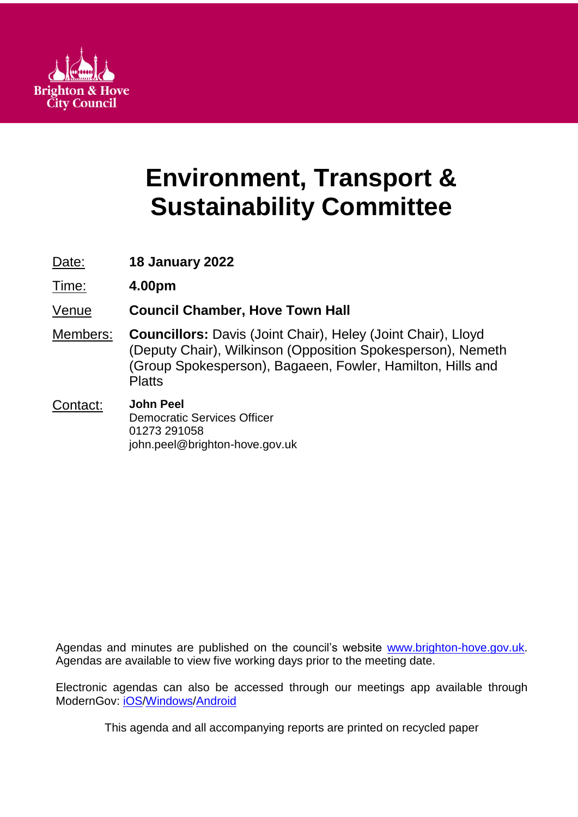

# **Environment, Transport & Sustainability Committee**

Date: **18 January 2022**

Time: **4.00pm**

# Venue **Council Chamber, Hove Town Hall**

Members: **Councillors:** Davis (Joint Chair), Heley (Joint Chair), Lloyd (Deputy Chair), Wilkinson (Opposition Spokesperson), Nemeth (Group Spokesperson), Bagaeen, Fowler, Hamilton, Hills and **Platts** 

#### Contact: **John Peel** Democratic Services Officer 01273 291058 john.peel@brighton-hove.gov.uk

Agendas and minutes are published on the council's website [www.brighton-hove.gov.uk.](http://www.brighton-hove.gov.uk/) Agendas are available to view five working days prior to the meeting date.

Electronic agendas can also be accessed through our meetings app available through ModernGov: [iOS](https://play.google.com/store/apps/details?id=uk.co.moderngov.modgov&hl=en_GB)[/Windows/](https://www.microsoft.com/en-gb/p/modgov/9nblggh0c7s7#activetab=pivot:overviewtab)[Android](https://play.google.com/store/apps/details?id=uk.co.moderngov.modgov&hl=en_GB)

This agenda and all accompanying reports are printed on recycled paper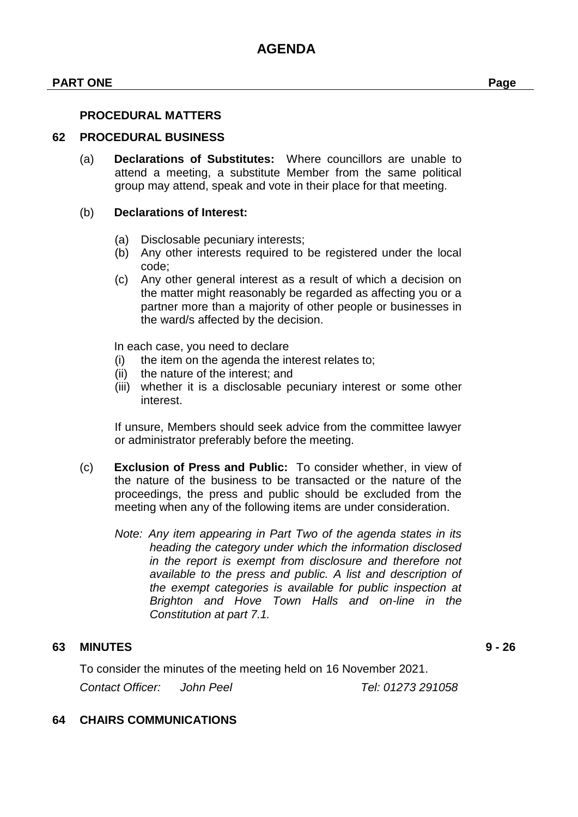#### **PART ONE Page**

#### **PROCEDURAL MATTERS**

#### **62 PROCEDURAL BUSINESS**

(a) **Declarations of Substitutes:** Where councillors are unable to attend a meeting, a substitute Member from the same political group may attend, speak and vote in their place for that meeting.

#### (b) **Declarations of Interest:**

- (a) Disclosable pecuniary interests;
- (b) Any other interests required to be registered under the local code;
- (c) Any other general interest as a result of which a decision on the matter might reasonably be regarded as affecting you or a partner more than a majority of other people or businesses in the ward/s affected by the decision.

In each case, you need to declare

- (i) the item on the agenda the interest relates to;
- (ii) the nature of the interest; and
- (iii) whether it is a disclosable pecuniary interest or some other interest.

If unsure, Members should seek advice from the committee lawyer or administrator preferably before the meeting.

- (c) **Exclusion of Press and Public:** To consider whether, in view of the nature of the business to be transacted or the nature of the proceedings, the press and public should be excluded from the meeting when any of the following items are under consideration.
	- *Note: Any item appearing in Part Two of the agenda states in its heading the category under which the information disclosed in the report is exempt from disclosure and therefore not available to the press and public. A list and description of the exempt categories is available for public inspection at Brighton and Hove Town Halls and on-line in the Constitution at part 7.1.*

#### **63 MINUTES 9 - 26**

To consider the minutes of the meeting held on 16 November 2021.

*Contact Officer: John Peel Tel: 01273 291058*

#### **64 CHAIRS COMMUNICATIONS**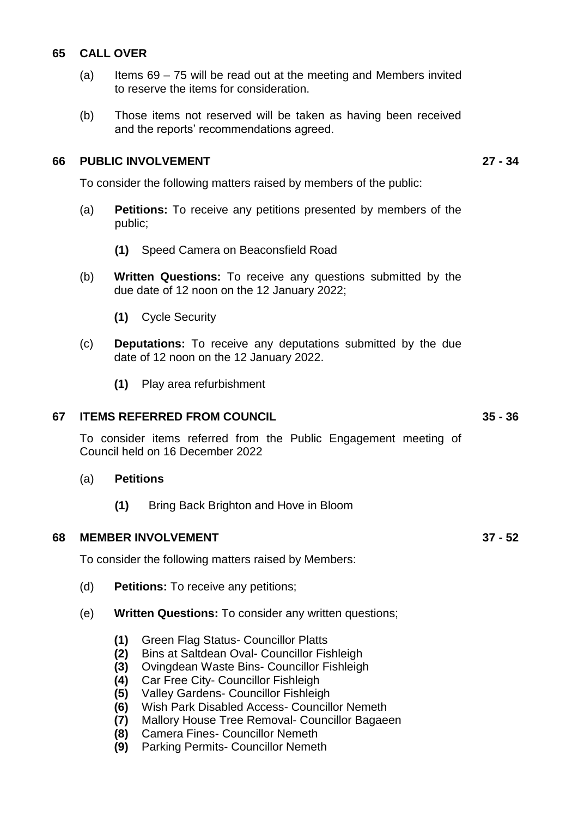#### **65 CALL OVER**

- (a) Items 69 75 will be read out at the meeting and Members invited to reserve the items for consideration.
- (b) Those items not reserved will be taken as having been received and the reports' recommendations agreed.

#### **66 PUBLIC INVOLVEMENT 27 - 34**

To consider the following matters raised by members of the public:

- (a) **Petitions:** To receive any petitions presented by members of the public;
	- **(1)** Speed Camera on Beaconsfield Road
- (b) **Written Questions:** To receive any questions submitted by the due date of 12 noon on the 12 January 2022;
	- **(1)** Cycle Security
- (c) **Deputations:** To receive any deputations submitted by the due date of 12 noon on the 12 January 2022.
	- **(1)** Play area refurbishment

#### **67 ITEMS REFERRED FROM COUNCIL 35 - 36**

To consider items referred from the Public Engagement meeting of Council held on 16 December 2022

- (a) **Petitions**
	- **(1)** Bring Back Brighton and Hove in Bloom

#### **68 MEMBER INVOLVEMENT 37 - 52**

To consider the following matters raised by Members:

- (d) **Petitions:** To receive any petitions;
- (e) **Written Questions:** To consider any written questions;
	- **(1)** Green Flag Status- Councillor Platts
	- **(2)** Bins at Saltdean Oval- Councillor Fishleigh
	- **(3)** Ovingdean Waste Bins- Councillor Fishleigh
	- **(4)** Car Free City- Councillor Fishleigh
	- **(5)** Valley Gardens- Councillor Fishleigh
	- **(6)** Wish Park Disabled Access- Councillor Nemeth
	- **(7)** Mallory House Tree Removal- Councillor Bagaeen
	- **(8)** Camera Fines- Councillor Nemeth
	- **(9)** Parking Permits- Councillor Nemeth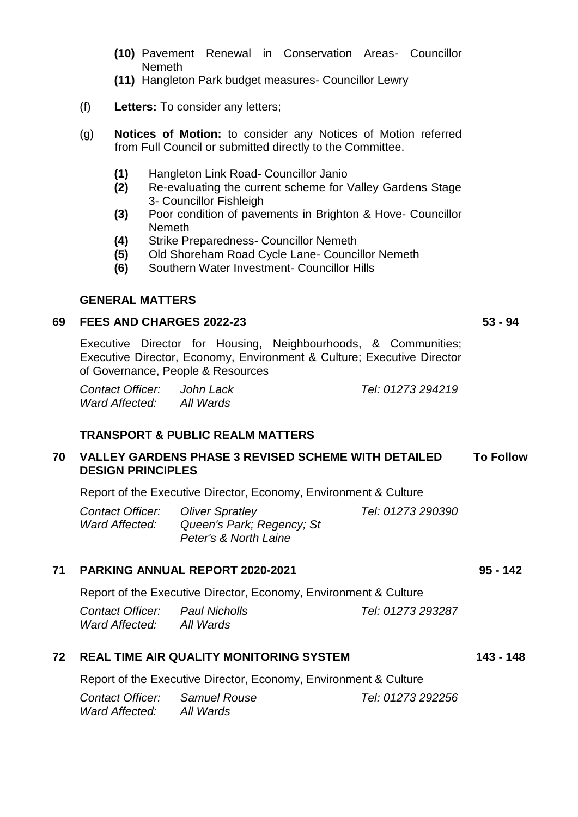- **(10)** Pavement Renewal in Conservation Areas- Councillor Nemeth
- **(11)** Hangleton Park budget measures- Councillor Lewry
- (f) **Letters:** To consider any letters;
- (g) **Notices of Motion:** to consider any Notices of Motion referred from Full Council or submitted directly to the Committee.
	- **(1)** Hangleton Link Road- Councillor Janio
	- **(2)** Re-evaluating the current scheme for Valley Gardens Stage 3- Councillor Fishleigh
	- **(3)** Poor condition of pavements in Brighton & Hove- Councillor Nemeth
	- **(4)** Strike Preparedness- Councillor Nemeth
	- **(5)** Old Shoreham Road Cycle Lane- Councillor Nemeth
	- **(6)** Southern Water Investment- Councillor Hills

#### **GENERAL MATTERS**

#### **69 FEES AND CHARGES 2022-23 53 - 94**

Executive Director for Housing, Neighbourhoods, & Communities; Executive Director, Economy, Environment & Culture; Executive Director of Governance, People & Resources

*Contact Officer: John Lack Tel: 01273 294219 Ward Affected: All Wards*

**TRANSPORT & PUBLIC REALM MATTERS**

#### **70 VALLEY GARDENS PHASE 3 REVISED SCHEME WITH DETAILED DESIGN PRINCIPLES To Follow**

Report of the Executive Director, Economy, Environment & Culture

*Contact Officer: Oliver Spratley Tel: 01273 290390 Ward Affected: Queen's Park; Regency; St Peter's & North Laine*

### **71 PARKING ANNUAL REPORT 2020-2021 95 - 142**

Report of the Executive Director, Economy, Environment & Culture

*Contact Officer: Paul Nicholls Tel: 01273 293287 Ward Affected: All Wards*

#### **72 REAL TIME AIR QUALITY MONITORING SYSTEM 143 - 148**

Report of the Executive Director, Economy, Environment & Culture

*Contact Officer: Samuel Rouse Tel: 01273 292256 Ward Affected: All Wards*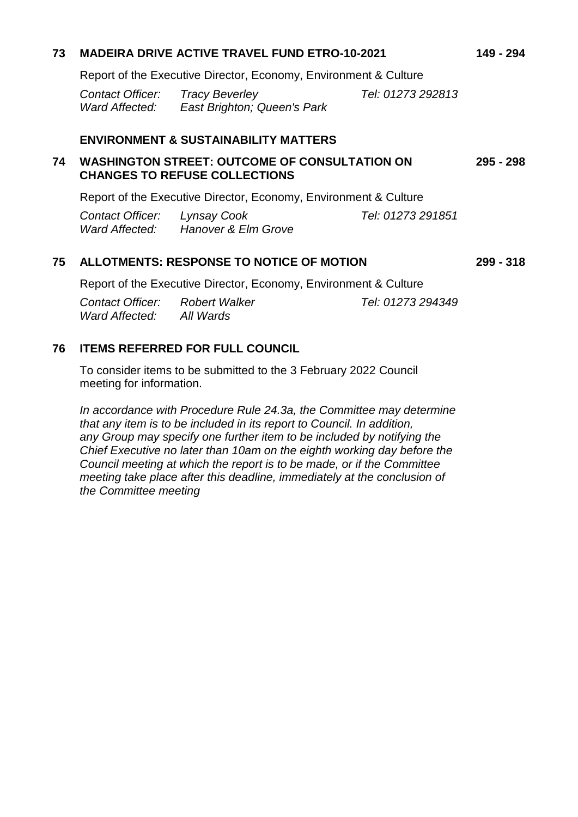| 73                                              | <b>MADEIRA DRIVE ACTIVE TRAVEL FUND ETRO-10-2021</b>                                         |                                            |                   | 149 - 294   |
|-------------------------------------------------|----------------------------------------------------------------------------------------------|--------------------------------------------|-------------------|-------------|
|                                                 | Report of the Executive Director, Economy, Environment & Culture                             |                                            |                   |             |
|                                                 | <b>Contact Officer:</b> Tracy Beverley                                                       | Ward Affected: East Brighton; Queen's Park | Tel: 01273 292813 |             |
| <b>ENVIRONMENT &amp; SUSTAINABILITY MATTERS</b> |                                                                                              |                                            |                   |             |
| 74                                              | <b>WASHINGTON STREET: OUTCOME OF CONSULTATION ON</b><br><b>CHANGES TO REFUSE COLLECTIONS</b> |                                            |                   | 295 - 298   |
|                                                 | Report of the Executive Director, Economy, Environment & Culture                             |                                            |                   |             |
|                                                 | Contact Officer: Lynsay Cook                                                                 | Ward Affected: Hanover & Elm Grove         | Tel: 01273 291851 |             |
| 75                                              | ALLOTMENTS: RESPONSE TO NOTICE OF MOTION                                                     |                                            |                   | $299 - 318$ |
|                                                 | Report of the Executive Director, Economy, Environment & Culture                             |                                            |                   |             |
|                                                 | <b>Contact Officer:</b> Robert Walker<br>Ward Affected: All Wards                            |                                            | Tel: 01273 294349 |             |

#### **76 ITEMS REFERRED FOR FULL COUNCIL**

To consider items to be submitted to the 3 February 2022 Council meeting for information.

*In accordance with Procedure Rule 24.3a, the Committee may determine that any item is to be included in its report to Council. In addition, any Group may specify one further item to be included by notifying the Chief Executive no later than 10am on the eighth working day before the Council meeting at which the report is to be made, or if the Committee meeting take place after this deadline, immediately at the conclusion of the Committee meeting*